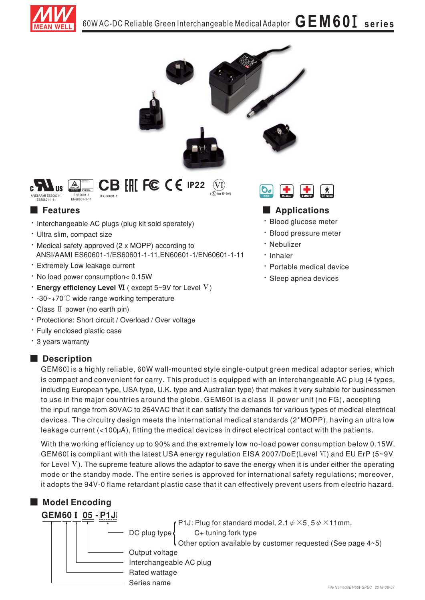



CB FILL FC CE IP22 1 EN60601-1<br>EN60601-1-11

# **Exatures**

- · Interchangeable AC plugs (plug kit sold sperately)
- · Ultra slim, compact size
- · Medical safety approved (2 x MOPP) according to ANSI/AAMI ES60601-1/ES60601-1-11, EN60601-1/EN60601-1-11
- · Extremely Low leakage current
- . No load power consumption< 0.15W
- **Energy efficiency Level VI** (except  $5 \sim 9V$  for Level V)
- $\cdot$  -30~+70°C wide range working temperature
- Class II power (no earth pin)
- · Protections: Short circuit / Overload / Over voltage
- · Fully enclosed plastic case
- · 3 years warranty

# Description



## Applications

- · Blood glucose meter
- · Blood pressure meter
- · Nebulizer
- · Inhaler
- · Portable medical device
- · Sleep apnea devices

GEM60I is a highly reliable, 60W wall-mounted style single-output green medical adaptor series, which is compact and convenient for carry. This product is equipped with an interchangeable AC plug (4 types, including European type, USA type, U.K. type and Australian type) that makes it very suitable for businessmen to use in the major countries around the globe. GEM60I is a class  $II$  power unit (no FG), accepting the input range from 80VAC to 264VAC that it can satisfy the demands for various types of medical electrical devices. The circuitry design meets the international medical standards (2\*MOPP), having an ultra low leakage current (<100µA), fitting the medical devices in direct electrical contact with the patients.

With the working efficiency up to 90% and the extremely low no-load power consumption below 0.15W, GEM60I is compliant with the latest USA energy regulation EISA 2007/DoE(Level VI) and EU ErP (5~9V for Level  $V$ ). The supreme feature allows the adaptor to save the energy when it is under either the operating mode or the standby mode. The entire series is approved for international safety regulations; moreover, it adopts the 94V-0 flame retardant plastic case that it can effectively prevent users from electric hazard.

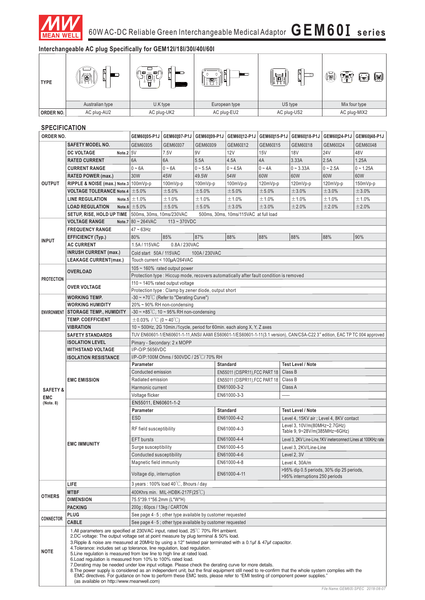

# **Interchangeable AC plug Specifically for GEM12I/18I/30I/40I/60I**

| <b>TYPE</b> | Ħ<br>Ш<br>何     | 0<br>▣<br>$70\%$<br>▬<br>回1<br>ப | h.<br>▬<br>끱  | ∐<br>$\overline{\circ}$<br>PUSH<br>ц | 嗝<br>⊂<br>lnl<br>(เคโ<br>(fi) |
|-------------|-----------------|----------------------------------|---------------|--------------------------------------|-------------------------------|
|             | Australian type | U.K type                         | European type | US type                              | Mix four type                 |
| ORDER NO.   | AC plug-AU2     | AC plug-UK2                      | AC plug-EU2   | AC plug-US2                          | AC plug-MIX2                  |

#### **SPECIFICATION**

| <b>SAFETY MODEL NO.</b><br>GEM60I05<br>GEM60I09<br>GEM60I12<br>GEM60I15<br>GEM60I18<br>GEM60I24<br>GEM60I07<br>Note.2 5V<br>9V<br>12V<br><b>18V</b><br><b>24V</b><br>48V<br><b>DC VOLTAGE</b><br>7.5V<br>15V<br>6A<br>2.5A<br>1.25A<br>6A<br>5.5A<br>4.5A<br>4A<br>3.33A<br><b>RATED CURRENT</b><br>$0 - 6A$<br>$0 - 5.5A$<br>$0 - 4.5A$<br>$0 - 4A$<br>$0 - 3.33A$<br>$0 - 2.5A$<br><b>CURRENT RANGE</b><br>$0 - 6A$<br>30W<br>49.5W<br>54W<br>60W<br>60W<br>45W<br>60W<br>60W<br><b>RATED POWER (max.)</b><br><b>OUTPUT</b><br>RIPPLE & NOISE (max.) Note.3 100mVp-p<br>$100mVp-p$<br>100mVp-p<br>$100mVp-p$<br>120mVp-p<br>120mVp-p<br>120mVp-p<br><b>VOLTAGE TOLERANCE Note.4</b> $\pm$ 5.0%<br>±5.0%<br>±3.0%<br>±3.0%<br>±5.0%<br>±5.0%<br>±5.0%<br>Note.5 $\pm$ 1.0%<br>±1.0%<br>±1.0%<br>±1.0%<br><b>LINE REGULATION</b><br>$\pm$ 1.0%<br>±1.0%<br>±1.0%<br>±2.0%<br>Note.6 $\pm$ 5.0%<br>±5.0%<br>±5.0%<br>±3.0%<br>±3.0%<br>±2.0%<br><b>LOAD REGULATION</b><br>500ms, 30ms, 10ms/230VAC<br>SETUP, RISE, HOLD UP TIME<br>500ms, 30ms, 10ms/115VAC at full load<br><b>VOLTAGE RANGE</b><br>Note.7 $80 - 264$ VAC<br>$113 - 370VDC$<br><b>FREQUENCY RANGE</b><br>$47 - 63$ Hz<br>80%<br>85%<br>87%<br>88%<br>88%<br>88%<br>88%<br>90%<br><b>EFFICIENCY (Typ.)</b><br><b>INPUT</b><br><b>AC CURRENT</b><br>1.5A / 115VAC<br>0.8A/230VAC<br><b>INRUSH CURRENT (max.)</b><br>Cold start 50A / 115VAC<br>100A/230VAC<br>Touch current < 100µA/264VAC<br><b>LEAKAGE CURRENT(max.)</b><br>$105 \sim 160\%$ rated output power<br><b>OVERLOAD</b><br>Protection type: Hiccup mode, recovers automatically after fault condition is removed<br><b>PROTECTION</b><br>110 ~ 140% rated output voltage<br><b>OVER VOLTAGE</b><br>Protection type: Clamp by zener diode, output short<br>-30 ~ +70 $^{\circ}$ C (Refer to "Derating Curve")<br>WORKING TEMP.<br>20% ~ 90% RH non-condensing<br><b>WORKING HUMIDITY</b><br>$-30 \sim +85^{\circ}$ C, 10 ~ 95% RH non-condensing<br><b>STORAGE TEMP., HUMIDITY</b><br><b>ENVIRONMENT</b><br><b>TEMP. COEFFICIENT</b><br>$\pm$ 0.03% / °C (0 ~ 40°C)<br>10 ~ 500Hz, 2G 10min./1cycle, period for 60min. each along X, Y, Z axes<br><b>VIBRATION</b><br><b>SAFETY STANDARDS</b><br>Pimary - Secondary: 2 x MOPP<br><b>ISOLATION LEVEL</b><br>WITHSTAND VOLTAGE<br>I/P-O/P:5656VDC<br>I/P-O/P:100M Ohms / 500VDC / 25°C/70% RH<br><b>ISOLATION RESISTANCE</b><br>Parameter<br><b>Standard</b><br><b>Test Level / Note</b><br>Class B<br>Conducted emission<br>EN55011 (CISPR11), FCC PART 18<br><b>EMC EMISSION</b><br>Radiated emission<br>Class B<br>EN55011 (CISPR11), FCC PART 18<br>Harmonic current<br>EN61000-3-2<br>Class A<br><b>SAFETY &amp;</b><br>Voltage flicker<br>EN61000-3-3<br>-----<br><b>EMC</b><br>EN55011, EN60601-1-2<br>(Note. 8)<br>Parameter<br><b>Test Level / Note</b><br><b>Standard</b><br><b>ESD</b><br>EN61000-4-2<br>Level 4, 15KV air ; Level 4, 8KV contact<br>Level 3, 10V/m(80MHz~2.7GHz)<br>EN61000-4-3<br>RF field susceptibility<br>Table 9, 9~28V/m(385MHz~6GHz)<br><b>EFT</b> bursts<br>EN61000-4-4<br>Level 3, 2KV Line-Line, 1KV ineterconnect Lines at 100KHz rate<br><b>EMC IMMUNITY</b><br>EN61000-4-5<br>Surge susceptibility<br>Level 3, 2KV/Line-Line<br>Conducted susceptibility<br>EN61000-4-6<br>Level 2, 3V<br>Magnetic field immunity<br>EN61000-4-8<br>Level 4, 30A/m<br>>95% dip 0.5 periods, 30% dip 25 periods,<br>Voltage dip, interruption<br>EN61000-4-11<br>>95% interruptions 250 periods<br>LIFE<br>3 years: $100\%$ load $40\degree$ C, 8hours / day<br><b>MTBF</b><br>400Khrs min. MIL-HDBK-217F(25°C)<br><b>OTHERS</b><br><b>DIMENSION</b><br>75.5*39.1*56.2mm (L*W*H)<br>200g; 60pcs / 13kg / CARTON<br><b>PACKING</b><br>PLUG<br>See page $4 \times 5$ ; other type available by customer requested<br>CONNECTOR<br>CABLE<br>See page $4 \sim 5$ ; other type available by customer requested<br>1.All parameters are specified at 230VAC input, rated load, 25 <sup>°</sup> C 70% RH ambient.<br>2.DC voltage: The output voltage set at point measure by plug terminal & 50% load.<br>3. Ripple & noise are measured at 20MHz by using a 12" twisted pair terminated with a 0.1µf & 47µf capacitor.<br>4. Tolerance: includes set up tolerance, line regulation, load regulation.<br><b>NOTE</b><br>5. Line regulation is measured from low line to high line at rated load.<br>6. Load regulation is measured from 10% to 100% rated load.<br>7. Derating may be needed under low input voltage. Please check the derating curve for more details.<br>8. The power supply is considered as an independent unit, but the final equipment still need to re-confirm that the whole system complies with the | ORDER NO. |  | GEM60I05-P1J                                                                                                                           | GEM60107-P1J | GEM60I09-P1J | GEM60I12-P1J   GEM60I15-P1J |  | GEM60I18-P1J |  | GEM60I24-P1J GEM60I48-P1J |  |
|------------------------------------------------------------------------------------------------------------------------------------------------------------------------------------------------------------------------------------------------------------------------------------------------------------------------------------------------------------------------------------------------------------------------------------------------------------------------------------------------------------------------------------------------------------------------------------------------------------------------------------------------------------------------------------------------------------------------------------------------------------------------------------------------------------------------------------------------------------------------------------------------------------------------------------------------------------------------------------------------------------------------------------------------------------------------------------------------------------------------------------------------------------------------------------------------------------------------------------------------------------------------------------------------------------------------------------------------------------------------------------------------------------------------------------------------------------------------------------------------------------------------------------------------------------------------------------------------------------------------------------------------------------------------------------------------------------------------------------------------------------------------------------------------------------------------------------------------------------------------------------------------------------------------------------------------------------------------------------------------------------------------------------------------------------------------------------------------------------------------------------------------------------------------------------------------------------------------------------------------------------------------------------------------------------------------------------------------------------------------------------------------------------------------------------------------------------------------------------------------------------------------------------------------------------------------------------------------------------------------------------------------------------------------------------------------------------------------------------------------------------------------------------------------------------------------------------------------------------------------------------------------------------------------------------------------------------------------------------------------------------------------------------------------------------------------------------------------------------------------------------------------------------------------------------------------------------------------------------------------------------------------------------------------------------------------------------------------------------------------------------------------------------------------------------------------------------------------------------------------------------------------------------------------------------------------------------------------------------------------------------------------------------------------------------------------------------------------------------------------------------------------------------------------------------------------------------------------------------------------------------------------------------------------------------------------------------------------------------------------------------------------------------------------------------------------------------------------------------------------------------------------------------------------------------------------------------------------------------------------------------------------------------------------------------------------------------------------------------------------------------------------------------------------------------------------------------------------------------------------------------------------------------------------------------------------------------------------------------------------------------------------------------------------------------------------------------------------|-----------|--|----------------------------------------------------------------------------------------------------------------------------------------|--------------|--------------|-----------------------------|--|--------------|--|---------------------------|--|
|                                                                                                                                                                                                                                                                                                                                                                                                                                                                                                                                                                                                                                                                                                                                                                                                                                                                                                                                                                                                                                                                                                                                                                                                                                                                                                                                                                                                                                                                                                                                                                                                                                                                                                                                                                                                                                                                                                                                                                                                                                                                                                                                                                                                                                                                                                                                                                                                                                                                                                                                                                                                                                                                                                                                                                                                                                                                                                                                                                                                                                                                                                                                                                                                                                                                                                                                                                                                                                                                                                                                                                                                                                                                                                                                                                                                                                                                                                                                                                                                                                                                                                                                                                                                                                                                                                                                                                                                                                                                                                                                                                                                                                                                                                                        |           |  |                                                                                                                                        |              |              |                             |  |              |  | GEM60I48                  |  |
|                                                                                                                                                                                                                                                                                                                                                                                                                                                                                                                                                                                                                                                                                                                                                                                                                                                                                                                                                                                                                                                                                                                                                                                                                                                                                                                                                                                                                                                                                                                                                                                                                                                                                                                                                                                                                                                                                                                                                                                                                                                                                                                                                                                                                                                                                                                                                                                                                                                                                                                                                                                                                                                                                                                                                                                                                                                                                                                                                                                                                                                                                                                                                                                                                                                                                                                                                                                                                                                                                                                                                                                                                                                                                                                                                                                                                                                                                                                                                                                                                                                                                                                                                                                                                                                                                                                                                                                                                                                                                                                                                                                                                                                                                                                        |           |  |                                                                                                                                        |              |              |                             |  |              |  |                           |  |
|                                                                                                                                                                                                                                                                                                                                                                                                                                                                                                                                                                                                                                                                                                                                                                                                                                                                                                                                                                                                                                                                                                                                                                                                                                                                                                                                                                                                                                                                                                                                                                                                                                                                                                                                                                                                                                                                                                                                                                                                                                                                                                                                                                                                                                                                                                                                                                                                                                                                                                                                                                                                                                                                                                                                                                                                                                                                                                                                                                                                                                                                                                                                                                                                                                                                                                                                                                                                                                                                                                                                                                                                                                                                                                                                                                                                                                                                                                                                                                                                                                                                                                                                                                                                                                                                                                                                                                                                                                                                                                                                                                                                                                                                                                                        |           |  |                                                                                                                                        |              |              |                             |  |              |  |                           |  |
|                                                                                                                                                                                                                                                                                                                                                                                                                                                                                                                                                                                                                                                                                                                                                                                                                                                                                                                                                                                                                                                                                                                                                                                                                                                                                                                                                                                                                                                                                                                                                                                                                                                                                                                                                                                                                                                                                                                                                                                                                                                                                                                                                                                                                                                                                                                                                                                                                                                                                                                                                                                                                                                                                                                                                                                                                                                                                                                                                                                                                                                                                                                                                                                                                                                                                                                                                                                                                                                                                                                                                                                                                                                                                                                                                                                                                                                                                                                                                                                                                                                                                                                                                                                                                                                                                                                                                                                                                                                                                                                                                                                                                                                                                                                        |           |  |                                                                                                                                        |              |              |                             |  |              |  | $0 - 1.25A$               |  |
|                                                                                                                                                                                                                                                                                                                                                                                                                                                                                                                                                                                                                                                                                                                                                                                                                                                                                                                                                                                                                                                                                                                                                                                                                                                                                                                                                                                                                                                                                                                                                                                                                                                                                                                                                                                                                                                                                                                                                                                                                                                                                                                                                                                                                                                                                                                                                                                                                                                                                                                                                                                                                                                                                                                                                                                                                                                                                                                                                                                                                                                                                                                                                                                                                                                                                                                                                                                                                                                                                                                                                                                                                                                                                                                                                                                                                                                                                                                                                                                                                                                                                                                                                                                                                                                                                                                                                                                                                                                                                                                                                                                                                                                                                                                        |           |  |                                                                                                                                        |              |              |                             |  |              |  |                           |  |
|                                                                                                                                                                                                                                                                                                                                                                                                                                                                                                                                                                                                                                                                                                                                                                                                                                                                                                                                                                                                                                                                                                                                                                                                                                                                                                                                                                                                                                                                                                                                                                                                                                                                                                                                                                                                                                                                                                                                                                                                                                                                                                                                                                                                                                                                                                                                                                                                                                                                                                                                                                                                                                                                                                                                                                                                                                                                                                                                                                                                                                                                                                                                                                                                                                                                                                                                                                                                                                                                                                                                                                                                                                                                                                                                                                                                                                                                                                                                                                                                                                                                                                                                                                                                                                                                                                                                                                                                                                                                                                                                                                                                                                                                                                                        |           |  |                                                                                                                                        |              |              |                             |  |              |  | 150mVp-p                  |  |
|                                                                                                                                                                                                                                                                                                                                                                                                                                                                                                                                                                                                                                                                                                                                                                                                                                                                                                                                                                                                                                                                                                                                                                                                                                                                                                                                                                                                                                                                                                                                                                                                                                                                                                                                                                                                                                                                                                                                                                                                                                                                                                                                                                                                                                                                                                                                                                                                                                                                                                                                                                                                                                                                                                                                                                                                                                                                                                                                                                                                                                                                                                                                                                                                                                                                                                                                                                                                                                                                                                                                                                                                                                                                                                                                                                                                                                                                                                                                                                                                                                                                                                                                                                                                                                                                                                                                                                                                                                                                                                                                                                                                                                                                                                                        |           |  |                                                                                                                                        |              |              |                             |  |              |  | ±3.0%                     |  |
|                                                                                                                                                                                                                                                                                                                                                                                                                                                                                                                                                                                                                                                                                                                                                                                                                                                                                                                                                                                                                                                                                                                                                                                                                                                                                                                                                                                                                                                                                                                                                                                                                                                                                                                                                                                                                                                                                                                                                                                                                                                                                                                                                                                                                                                                                                                                                                                                                                                                                                                                                                                                                                                                                                                                                                                                                                                                                                                                                                                                                                                                                                                                                                                                                                                                                                                                                                                                                                                                                                                                                                                                                                                                                                                                                                                                                                                                                                                                                                                                                                                                                                                                                                                                                                                                                                                                                                                                                                                                                                                                                                                                                                                                                                                        |           |  |                                                                                                                                        |              |              |                             |  |              |  | ±1.0%                     |  |
|                                                                                                                                                                                                                                                                                                                                                                                                                                                                                                                                                                                                                                                                                                                                                                                                                                                                                                                                                                                                                                                                                                                                                                                                                                                                                                                                                                                                                                                                                                                                                                                                                                                                                                                                                                                                                                                                                                                                                                                                                                                                                                                                                                                                                                                                                                                                                                                                                                                                                                                                                                                                                                                                                                                                                                                                                                                                                                                                                                                                                                                                                                                                                                                                                                                                                                                                                                                                                                                                                                                                                                                                                                                                                                                                                                                                                                                                                                                                                                                                                                                                                                                                                                                                                                                                                                                                                                                                                                                                                                                                                                                                                                                                                                                        |           |  |                                                                                                                                        |              |              |                             |  |              |  | ±2.0%                     |  |
|                                                                                                                                                                                                                                                                                                                                                                                                                                                                                                                                                                                                                                                                                                                                                                                                                                                                                                                                                                                                                                                                                                                                                                                                                                                                                                                                                                                                                                                                                                                                                                                                                                                                                                                                                                                                                                                                                                                                                                                                                                                                                                                                                                                                                                                                                                                                                                                                                                                                                                                                                                                                                                                                                                                                                                                                                                                                                                                                                                                                                                                                                                                                                                                                                                                                                                                                                                                                                                                                                                                                                                                                                                                                                                                                                                                                                                                                                                                                                                                                                                                                                                                                                                                                                                                                                                                                                                                                                                                                                                                                                                                                                                                                                                                        |           |  |                                                                                                                                        |              |              |                             |  |              |  |                           |  |
|                                                                                                                                                                                                                                                                                                                                                                                                                                                                                                                                                                                                                                                                                                                                                                                                                                                                                                                                                                                                                                                                                                                                                                                                                                                                                                                                                                                                                                                                                                                                                                                                                                                                                                                                                                                                                                                                                                                                                                                                                                                                                                                                                                                                                                                                                                                                                                                                                                                                                                                                                                                                                                                                                                                                                                                                                                                                                                                                                                                                                                                                                                                                                                                                                                                                                                                                                                                                                                                                                                                                                                                                                                                                                                                                                                                                                                                                                                                                                                                                                                                                                                                                                                                                                                                                                                                                                                                                                                                                                                                                                                                                                                                                                                                        |           |  |                                                                                                                                        |              |              |                             |  |              |  |                           |  |
|                                                                                                                                                                                                                                                                                                                                                                                                                                                                                                                                                                                                                                                                                                                                                                                                                                                                                                                                                                                                                                                                                                                                                                                                                                                                                                                                                                                                                                                                                                                                                                                                                                                                                                                                                                                                                                                                                                                                                                                                                                                                                                                                                                                                                                                                                                                                                                                                                                                                                                                                                                                                                                                                                                                                                                                                                                                                                                                                                                                                                                                                                                                                                                                                                                                                                                                                                                                                                                                                                                                                                                                                                                                                                                                                                                                                                                                                                                                                                                                                                                                                                                                                                                                                                                                                                                                                                                                                                                                                                                                                                                                                                                                                                                                        |           |  |                                                                                                                                        |              |              |                             |  |              |  |                           |  |
|                                                                                                                                                                                                                                                                                                                                                                                                                                                                                                                                                                                                                                                                                                                                                                                                                                                                                                                                                                                                                                                                                                                                                                                                                                                                                                                                                                                                                                                                                                                                                                                                                                                                                                                                                                                                                                                                                                                                                                                                                                                                                                                                                                                                                                                                                                                                                                                                                                                                                                                                                                                                                                                                                                                                                                                                                                                                                                                                                                                                                                                                                                                                                                                                                                                                                                                                                                                                                                                                                                                                                                                                                                                                                                                                                                                                                                                                                                                                                                                                                                                                                                                                                                                                                                                                                                                                                                                                                                                                                                                                                                                                                                                                                                                        |           |  |                                                                                                                                        |              |              |                             |  |              |  |                           |  |
|                                                                                                                                                                                                                                                                                                                                                                                                                                                                                                                                                                                                                                                                                                                                                                                                                                                                                                                                                                                                                                                                                                                                                                                                                                                                                                                                                                                                                                                                                                                                                                                                                                                                                                                                                                                                                                                                                                                                                                                                                                                                                                                                                                                                                                                                                                                                                                                                                                                                                                                                                                                                                                                                                                                                                                                                                                                                                                                                                                                                                                                                                                                                                                                                                                                                                                                                                                                                                                                                                                                                                                                                                                                                                                                                                                                                                                                                                                                                                                                                                                                                                                                                                                                                                                                                                                                                                                                                                                                                                                                                                                                                                                                                                                                        |           |  |                                                                                                                                        |              |              |                             |  |              |  |                           |  |
|                                                                                                                                                                                                                                                                                                                                                                                                                                                                                                                                                                                                                                                                                                                                                                                                                                                                                                                                                                                                                                                                                                                                                                                                                                                                                                                                                                                                                                                                                                                                                                                                                                                                                                                                                                                                                                                                                                                                                                                                                                                                                                                                                                                                                                                                                                                                                                                                                                                                                                                                                                                                                                                                                                                                                                                                                                                                                                                                                                                                                                                                                                                                                                                                                                                                                                                                                                                                                                                                                                                                                                                                                                                                                                                                                                                                                                                                                                                                                                                                                                                                                                                                                                                                                                                                                                                                                                                                                                                                                                                                                                                                                                                                                                                        |           |  |                                                                                                                                        |              |              |                             |  |              |  |                           |  |
|                                                                                                                                                                                                                                                                                                                                                                                                                                                                                                                                                                                                                                                                                                                                                                                                                                                                                                                                                                                                                                                                                                                                                                                                                                                                                                                                                                                                                                                                                                                                                                                                                                                                                                                                                                                                                                                                                                                                                                                                                                                                                                                                                                                                                                                                                                                                                                                                                                                                                                                                                                                                                                                                                                                                                                                                                                                                                                                                                                                                                                                                                                                                                                                                                                                                                                                                                                                                                                                                                                                                                                                                                                                                                                                                                                                                                                                                                                                                                                                                                                                                                                                                                                                                                                                                                                                                                                                                                                                                                                                                                                                                                                                                                                                        |           |  |                                                                                                                                        |              |              |                             |  |              |  |                           |  |
|                                                                                                                                                                                                                                                                                                                                                                                                                                                                                                                                                                                                                                                                                                                                                                                                                                                                                                                                                                                                                                                                                                                                                                                                                                                                                                                                                                                                                                                                                                                                                                                                                                                                                                                                                                                                                                                                                                                                                                                                                                                                                                                                                                                                                                                                                                                                                                                                                                                                                                                                                                                                                                                                                                                                                                                                                                                                                                                                                                                                                                                                                                                                                                                                                                                                                                                                                                                                                                                                                                                                                                                                                                                                                                                                                                                                                                                                                                                                                                                                                                                                                                                                                                                                                                                                                                                                                                                                                                                                                                                                                                                                                                                                                                                        |           |  |                                                                                                                                        |              |              |                             |  |              |  |                           |  |
|                                                                                                                                                                                                                                                                                                                                                                                                                                                                                                                                                                                                                                                                                                                                                                                                                                                                                                                                                                                                                                                                                                                                                                                                                                                                                                                                                                                                                                                                                                                                                                                                                                                                                                                                                                                                                                                                                                                                                                                                                                                                                                                                                                                                                                                                                                                                                                                                                                                                                                                                                                                                                                                                                                                                                                                                                                                                                                                                                                                                                                                                                                                                                                                                                                                                                                                                                                                                                                                                                                                                                                                                                                                                                                                                                                                                                                                                                                                                                                                                                                                                                                                                                                                                                                                                                                                                                                                                                                                                                                                                                                                                                                                                                                                        |           |  |                                                                                                                                        |              |              |                             |  |              |  |                           |  |
|                                                                                                                                                                                                                                                                                                                                                                                                                                                                                                                                                                                                                                                                                                                                                                                                                                                                                                                                                                                                                                                                                                                                                                                                                                                                                                                                                                                                                                                                                                                                                                                                                                                                                                                                                                                                                                                                                                                                                                                                                                                                                                                                                                                                                                                                                                                                                                                                                                                                                                                                                                                                                                                                                                                                                                                                                                                                                                                                                                                                                                                                                                                                                                                                                                                                                                                                                                                                                                                                                                                                                                                                                                                                                                                                                                                                                                                                                                                                                                                                                                                                                                                                                                                                                                                                                                                                                                                                                                                                                                                                                                                                                                                                                                                        |           |  |                                                                                                                                        |              |              |                             |  |              |  |                           |  |
|                                                                                                                                                                                                                                                                                                                                                                                                                                                                                                                                                                                                                                                                                                                                                                                                                                                                                                                                                                                                                                                                                                                                                                                                                                                                                                                                                                                                                                                                                                                                                                                                                                                                                                                                                                                                                                                                                                                                                                                                                                                                                                                                                                                                                                                                                                                                                                                                                                                                                                                                                                                                                                                                                                                                                                                                                                                                                                                                                                                                                                                                                                                                                                                                                                                                                                                                                                                                                                                                                                                                                                                                                                                                                                                                                                                                                                                                                                                                                                                                                                                                                                                                                                                                                                                                                                                                                                                                                                                                                                                                                                                                                                                                                                                        |           |  |                                                                                                                                        |              |              |                             |  |              |  |                           |  |
|                                                                                                                                                                                                                                                                                                                                                                                                                                                                                                                                                                                                                                                                                                                                                                                                                                                                                                                                                                                                                                                                                                                                                                                                                                                                                                                                                                                                                                                                                                                                                                                                                                                                                                                                                                                                                                                                                                                                                                                                                                                                                                                                                                                                                                                                                                                                                                                                                                                                                                                                                                                                                                                                                                                                                                                                                                                                                                                                                                                                                                                                                                                                                                                                                                                                                                                                                                                                                                                                                                                                                                                                                                                                                                                                                                                                                                                                                                                                                                                                                                                                                                                                                                                                                                                                                                                                                                                                                                                                                                                                                                                                                                                                                                                        |           |  |                                                                                                                                        |              |              |                             |  |              |  |                           |  |
|                                                                                                                                                                                                                                                                                                                                                                                                                                                                                                                                                                                                                                                                                                                                                                                                                                                                                                                                                                                                                                                                                                                                                                                                                                                                                                                                                                                                                                                                                                                                                                                                                                                                                                                                                                                                                                                                                                                                                                                                                                                                                                                                                                                                                                                                                                                                                                                                                                                                                                                                                                                                                                                                                                                                                                                                                                                                                                                                                                                                                                                                                                                                                                                                                                                                                                                                                                                                                                                                                                                                                                                                                                                                                                                                                                                                                                                                                                                                                                                                                                                                                                                                                                                                                                                                                                                                                                                                                                                                                                                                                                                                                                                                                                                        |           |  |                                                                                                                                        |              |              |                             |  |              |  |                           |  |
|                                                                                                                                                                                                                                                                                                                                                                                                                                                                                                                                                                                                                                                                                                                                                                                                                                                                                                                                                                                                                                                                                                                                                                                                                                                                                                                                                                                                                                                                                                                                                                                                                                                                                                                                                                                                                                                                                                                                                                                                                                                                                                                                                                                                                                                                                                                                                                                                                                                                                                                                                                                                                                                                                                                                                                                                                                                                                                                                                                                                                                                                                                                                                                                                                                                                                                                                                                                                                                                                                                                                                                                                                                                                                                                                                                                                                                                                                                                                                                                                                                                                                                                                                                                                                                                                                                                                                                                                                                                                                                                                                                                                                                                                                                                        |           |  |                                                                                                                                        |              |              |                             |  |              |  |                           |  |
|                                                                                                                                                                                                                                                                                                                                                                                                                                                                                                                                                                                                                                                                                                                                                                                                                                                                                                                                                                                                                                                                                                                                                                                                                                                                                                                                                                                                                                                                                                                                                                                                                                                                                                                                                                                                                                                                                                                                                                                                                                                                                                                                                                                                                                                                                                                                                                                                                                                                                                                                                                                                                                                                                                                                                                                                                                                                                                                                                                                                                                                                                                                                                                                                                                                                                                                                                                                                                                                                                                                                                                                                                                                                                                                                                                                                                                                                                                                                                                                                                                                                                                                                                                                                                                                                                                                                                                                                                                                                                                                                                                                                                                                                                                                        |           |  |                                                                                                                                        |              |              |                             |  |              |  |                           |  |
|                                                                                                                                                                                                                                                                                                                                                                                                                                                                                                                                                                                                                                                                                                                                                                                                                                                                                                                                                                                                                                                                                                                                                                                                                                                                                                                                                                                                                                                                                                                                                                                                                                                                                                                                                                                                                                                                                                                                                                                                                                                                                                                                                                                                                                                                                                                                                                                                                                                                                                                                                                                                                                                                                                                                                                                                                                                                                                                                                                                                                                                                                                                                                                                                                                                                                                                                                                                                                                                                                                                                                                                                                                                                                                                                                                                                                                                                                                                                                                                                                                                                                                                                                                                                                                                                                                                                                                                                                                                                                                                                                                                                                                                                                                                        |           |  |                                                                                                                                        |              |              |                             |  |              |  |                           |  |
|                                                                                                                                                                                                                                                                                                                                                                                                                                                                                                                                                                                                                                                                                                                                                                                                                                                                                                                                                                                                                                                                                                                                                                                                                                                                                                                                                                                                                                                                                                                                                                                                                                                                                                                                                                                                                                                                                                                                                                                                                                                                                                                                                                                                                                                                                                                                                                                                                                                                                                                                                                                                                                                                                                                                                                                                                                                                                                                                                                                                                                                                                                                                                                                                                                                                                                                                                                                                                                                                                                                                                                                                                                                                                                                                                                                                                                                                                                                                                                                                                                                                                                                                                                                                                                                                                                                                                                                                                                                                                                                                                                                                                                                                                                                        |           |  | TUV EN60601-1/EN60601-1-11,ANSI/ AAMI ES60601-1/ES60601-1-11(3.1 version), CAN/CSA-C22 3 <sup>rd</sup> edition, EAC TP TC 004 approved |              |              |                             |  |              |  |                           |  |
|                                                                                                                                                                                                                                                                                                                                                                                                                                                                                                                                                                                                                                                                                                                                                                                                                                                                                                                                                                                                                                                                                                                                                                                                                                                                                                                                                                                                                                                                                                                                                                                                                                                                                                                                                                                                                                                                                                                                                                                                                                                                                                                                                                                                                                                                                                                                                                                                                                                                                                                                                                                                                                                                                                                                                                                                                                                                                                                                                                                                                                                                                                                                                                                                                                                                                                                                                                                                                                                                                                                                                                                                                                                                                                                                                                                                                                                                                                                                                                                                                                                                                                                                                                                                                                                                                                                                                                                                                                                                                                                                                                                                                                                                                                                        |           |  |                                                                                                                                        |              |              |                             |  |              |  |                           |  |
|                                                                                                                                                                                                                                                                                                                                                                                                                                                                                                                                                                                                                                                                                                                                                                                                                                                                                                                                                                                                                                                                                                                                                                                                                                                                                                                                                                                                                                                                                                                                                                                                                                                                                                                                                                                                                                                                                                                                                                                                                                                                                                                                                                                                                                                                                                                                                                                                                                                                                                                                                                                                                                                                                                                                                                                                                                                                                                                                                                                                                                                                                                                                                                                                                                                                                                                                                                                                                                                                                                                                                                                                                                                                                                                                                                                                                                                                                                                                                                                                                                                                                                                                                                                                                                                                                                                                                                                                                                                                                                                                                                                                                                                                                                                        |           |  |                                                                                                                                        |              |              |                             |  |              |  |                           |  |
|                                                                                                                                                                                                                                                                                                                                                                                                                                                                                                                                                                                                                                                                                                                                                                                                                                                                                                                                                                                                                                                                                                                                                                                                                                                                                                                                                                                                                                                                                                                                                                                                                                                                                                                                                                                                                                                                                                                                                                                                                                                                                                                                                                                                                                                                                                                                                                                                                                                                                                                                                                                                                                                                                                                                                                                                                                                                                                                                                                                                                                                                                                                                                                                                                                                                                                                                                                                                                                                                                                                                                                                                                                                                                                                                                                                                                                                                                                                                                                                                                                                                                                                                                                                                                                                                                                                                                                                                                                                                                                                                                                                                                                                                                                                        |           |  |                                                                                                                                        |              |              |                             |  |              |  |                           |  |
|                                                                                                                                                                                                                                                                                                                                                                                                                                                                                                                                                                                                                                                                                                                                                                                                                                                                                                                                                                                                                                                                                                                                                                                                                                                                                                                                                                                                                                                                                                                                                                                                                                                                                                                                                                                                                                                                                                                                                                                                                                                                                                                                                                                                                                                                                                                                                                                                                                                                                                                                                                                                                                                                                                                                                                                                                                                                                                                                                                                                                                                                                                                                                                                                                                                                                                                                                                                                                                                                                                                                                                                                                                                                                                                                                                                                                                                                                                                                                                                                                                                                                                                                                                                                                                                                                                                                                                                                                                                                                                                                                                                                                                                                                                                        |           |  |                                                                                                                                        |              |              |                             |  |              |  |                           |  |
|                                                                                                                                                                                                                                                                                                                                                                                                                                                                                                                                                                                                                                                                                                                                                                                                                                                                                                                                                                                                                                                                                                                                                                                                                                                                                                                                                                                                                                                                                                                                                                                                                                                                                                                                                                                                                                                                                                                                                                                                                                                                                                                                                                                                                                                                                                                                                                                                                                                                                                                                                                                                                                                                                                                                                                                                                                                                                                                                                                                                                                                                                                                                                                                                                                                                                                                                                                                                                                                                                                                                                                                                                                                                                                                                                                                                                                                                                                                                                                                                                                                                                                                                                                                                                                                                                                                                                                                                                                                                                                                                                                                                                                                                                                                        |           |  |                                                                                                                                        |              |              |                             |  |              |  |                           |  |
|                                                                                                                                                                                                                                                                                                                                                                                                                                                                                                                                                                                                                                                                                                                                                                                                                                                                                                                                                                                                                                                                                                                                                                                                                                                                                                                                                                                                                                                                                                                                                                                                                                                                                                                                                                                                                                                                                                                                                                                                                                                                                                                                                                                                                                                                                                                                                                                                                                                                                                                                                                                                                                                                                                                                                                                                                                                                                                                                                                                                                                                                                                                                                                                                                                                                                                                                                                                                                                                                                                                                                                                                                                                                                                                                                                                                                                                                                                                                                                                                                                                                                                                                                                                                                                                                                                                                                                                                                                                                                                                                                                                                                                                                                                                        |           |  |                                                                                                                                        |              |              |                             |  |              |  |                           |  |
|                                                                                                                                                                                                                                                                                                                                                                                                                                                                                                                                                                                                                                                                                                                                                                                                                                                                                                                                                                                                                                                                                                                                                                                                                                                                                                                                                                                                                                                                                                                                                                                                                                                                                                                                                                                                                                                                                                                                                                                                                                                                                                                                                                                                                                                                                                                                                                                                                                                                                                                                                                                                                                                                                                                                                                                                                                                                                                                                                                                                                                                                                                                                                                                                                                                                                                                                                                                                                                                                                                                                                                                                                                                                                                                                                                                                                                                                                                                                                                                                                                                                                                                                                                                                                                                                                                                                                                                                                                                                                                                                                                                                                                                                                                                        |           |  |                                                                                                                                        |              |              |                             |  |              |  |                           |  |
|                                                                                                                                                                                                                                                                                                                                                                                                                                                                                                                                                                                                                                                                                                                                                                                                                                                                                                                                                                                                                                                                                                                                                                                                                                                                                                                                                                                                                                                                                                                                                                                                                                                                                                                                                                                                                                                                                                                                                                                                                                                                                                                                                                                                                                                                                                                                                                                                                                                                                                                                                                                                                                                                                                                                                                                                                                                                                                                                                                                                                                                                                                                                                                                                                                                                                                                                                                                                                                                                                                                                                                                                                                                                                                                                                                                                                                                                                                                                                                                                                                                                                                                                                                                                                                                                                                                                                                                                                                                                                                                                                                                                                                                                                                                        |           |  |                                                                                                                                        |              |              |                             |  |              |  |                           |  |
|                                                                                                                                                                                                                                                                                                                                                                                                                                                                                                                                                                                                                                                                                                                                                                                                                                                                                                                                                                                                                                                                                                                                                                                                                                                                                                                                                                                                                                                                                                                                                                                                                                                                                                                                                                                                                                                                                                                                                                                                                                                                                                                                                                                                                                                                                                                                                                                                                                                                                                                                                                                                                                                                                                                                                                                                                                                                                                                                                                                                                                                                                                                                                                                                                                                                                                                                                                                                                                                                                                                                                                                                                                                                                                                                                                                                                                                                                                                                                                                                                                                                                                                                                                                                                                                                                                                                                                                                                                                                                                                                                                                                                                                                                                                        |           |  |                                                                                                                                        |              |              |                             |  |              |  |                           |  |
|                                                                                                                                                                                                                                                                                                                                                                                                                                                                                                                                                                                                                                                                                                                                                                                                                                                                                                                                                                                                                                                                                                                                                                                                                                                                                                                                                                                                                                                                                                                                                                                                                                                                                                                                                                                                                                                                                                                                                                                                                                                                                                                                                                                                                                                                                                                                                                                                                                                                                                                                                                                                                                                                                                                                                                                                                                                                                                                                                                                                                                                                                                                                                                                                                                                                                                                                                                                                                                                                                                                                                                                                                                                                                                                                                                                                                                                                                                                                                                                                                                                                                                                                                                                                                                                                                                                                                                                                                                                                                                                                                                                                                                                                                                                        |           |  |                                                                                                                                        |              |              |                             |  |              |  |                           |  |
|                                                                                                                                                                                                                                                                                                                                                                                                                                                                                                                                                                                                                                                                                                                                                                                                                                                                                                                                                                                                                                                                                                                                                                                                                                                                                                                                                                                                                                                                                                                                                                                                                                                                                                                                                                                                                                                                                                                                                                                                                                                                                                                                                                                                                                                                                                                                                                                                                                                                                                                                                                                                                                                                                                                                                                                                                                                                                                                                                                                                                                                                                                                                                                                                                                                                                                                                                                                                                                                                                                                                                                                                                                                                                                                                                                                                                                                                                                                                                                                                                                                                                                                                                                                                                                                                                                                                                                                                                                                                                                                                                                                                                                                                                                                        |           |  |                                                                                                                                        |              |              |                             |  |              |  |                           |  |
|                                                                                                                                                                                                                                                                                                                                                                                                                                                                                                                                                                                                                                                                                                                                                                                                                                                                                                                                                                                                                                                                                                                                                                                                                                                                                                                                                                                                                                                                                                                                                                                                                                                                                                                                                                                                                                                                                                                                                                                                                                                                                                                                                                                                                                                                                                                                                                                                                                                                                                                                                                                                                                                                                                                                                                                                                                                                                                                                                                                                                                                                                                                                                                                                                                                                                                                                                                                                                                                                                                                                                                                                                                                                                                                                                                                                                                                                                                                                                                                                                                                                                                                                                                                                                                                                                                                                                                                                                                                                                                                                                                                                                                                                                                                        |           |  |                                                                                                                                        |              |              |                             |  |              |  |                           |  |
|                                                                                                                                                                                                                                                                                                                                                                                                                                                                                                                                                                                                                                                                                                                                                                                                                                                                                                                                                                                                                                                                                                                                                                                                                                                                                                                                                                                                                                                                                                                                                                                                                                                                                                                                                                                                                                                                                                                                                                                                                                                                                                                                                                                                                                                                                                                                                                                                                                                                                                                                                                                                                                                                                                                                                                                                                                                                                                                                                                                                                                                                                                                                                                                                                                                                                                                                                                                                                                                                                                                                                                                                                                                                                                                                                                                                                                                                                                                                                                                                                                                                                                                                                                                                                                                                                                                                                                                                                                                                                                                                                                                                                                                                                                                        |           |  |                                                                                                                                        |              |              |                             |  |              |  |                           |  |
|                                                                                                                                                                                                                                                                                                                                                                                                                                                                                                                                                                                                                                                                                                                                                                                                                                                                                                                                                                                                                                                                                                                                                                                                                                                                                                                                                                                                                                                                                                                                                                                                                                                                                                                                                                                                                                                                                                                                                                                                                                                                                                                                                                                                                                                                                                                                                                                                                                                                                                                                                                                                                                                                                                                                                                                                                                                                                                                                                                                                                                                                                                                                                                                                                                                                                                                                                                                                                                                                                                                                                                                                                                                                                                                                                                                                                                                                                                                                                                                                                                                                                                                                                                                                                                                                                                                                                                                                                                                                                                                                                                                                                                                                                                                        |           |  |                                                                                                                                        |              |              |                             |  |              |  |                           |  |
|                                                                                                                                                                                                                                                                                                                                                                                                                                                                                                                                                                                                                                                                                                                                                                                                                                                                                                                                                                                                                                                                                                                                                                                                                                                                                                                                                                                                                                                                                                                                                                                                                                                                                                                                                                                                                                                                                                                                                                                                                                                                                                                                                                                                                                                                                                                                                                                                                                                                                                                                                                                                                                                                                                                                                                                                                                                                                                                                                                                                                                                                                                                                                                                                                                                                                                                                                                                                                                                                                                                                                                                                                                                                                                                                                                                                                                                                                                                                                                                                                                                                                                                                                                                                                                                                                                                                                                                                                                                                                                                                                                                                                                                                                                                        |           |  |                                                                                                                                        |              |              |                             |  |              |  |                           |  |
|                                                                                                                                                                                                                                                                                                                                                                                                                                                                                                                                                                                                                                                                                                                                                                                                                                                                                                                                                                                                                                                                                                                                                                                                                                                                                                                                                                                                                                                                                                                                                                                                                                                                                                                                                                                                                                                                                                                                                                                                                                                                                                                                                                                                                                                                                                                                                                                                                                                                                                                                                                                                                                                                                                                                                                                                                                                                                                                                                                                                                                                                                                                                                                                                                                                                                                                                                                                                                                                                                                                                                                                                                                                                                                                                                                                                                                                                                                                                                                                                                                                                                                                                                                                                                                                                                                                                                                                                                                                                                                                                                                                                                                                                                                                        |           |  |                                                                                                                                        |              |              |                             |  |              |  |                           |  |
|                                                                                                                                                                                                                                                                                                                                                                                                                                                                                                                                                                                                                                                                                                                                                                                                                                                                                                                                                                                                                                                                                                                                                                                                                                                                                                                                                                                                                                                                                                                                                                                                                                                                                                                                                                                                                                                                                                                                                                                                                                                                                                                                                                                                                                                                                                                                                                                                                                                                                                                                                                                                                                                                                                                                                                                                                                                                                                                                                                                                                                                                                                                                                                                                                                                                                                                                                                                                                                                                                                                                                                                                                                                                                                                                                                                                                                                                                                                                                                                                                                                                                                                                                                                                                                                                                                                                                                                                                                                                                                                                                                                                                                                                                                                        |           |  |                                                                                                                                        |              |              |                             |  |              |  |                           |  |
|                                                                                                                                                                                                                                                                                                                                                                                                                                                                                                                                                                                                                                                                                                                                                                                                                                                                                                                                                                                                                                                                                                                                                                                                                                                                                                                                                                                                                                                                                                                                                                                                                                                                                                                                                                                                                                                                                                                                                                                                                                                                                                                                                                                                                                                                                                                                                                                                                                                                                                                                                                                                                                                                                                                                                                                                                                                                                                                                                                                                                                                                                                                                                                                                                                                                                                                                                                                                                                                                                                                                                                                                                                                                                                                                                                                                                                                                                                                                                                                                                                                                                                                                                                                                                                                                                                                                                                                                                                                                                                                                                                                                                                                                                                                        |           |  |                                                                                                                                        |              |              |                             |  |              |  |                           |  |
|                                                                                                                                                                                                                                                                                                                                                                                                                                                                                                                                                                                                                                                                                                                                                                                                                                                                                                                                                                                                                                                                                                                                                                                                                                                                                                                                                                                                                                                                                                                                                                                                                                                                                                                                                                                                                                                                                                                                                                                                                                                                                                                                                                                                                                                                                                                                                                                                                                                                                                                                                                                                                                                                                                                                                                                                                                                                                                                                                                                                                                                                                                                                                                                                                                                                                                                                                                                                                                                                                                                                                                                                                                                                                                                                                                                                                                                                                                                                                                                                                                                                                                                                                                                                                                                                                                                                                                                                                                                                                                                                                                                                                                                                                                                        |           |  |                                                                                                                                        |              |              |                             |  |              |  |                           |  |
|                                                                                                                                                                                                                                                                                                                                                                                                                                                                                                                                                                                                                                                                                                                                                                                                                                                                                                                                                                                                                                                                                                                                                                                                                                                                                                                                                                                                                                                                                                                                                                                                                                                                                                                                                                                                                                                                                                                                                                                                                                                                                                                                                                                                                                                                                                                                                                                                                                                                                                                                                                                                                                                                                                                                                                                                                                                                                                                                                                                                                                                                                                                                                                                                                                                                                                                                                                                                                                                                                                                                                                                                                                                                                                                                                                                                                                                                                                                                                                                                                                                                                                                                                                                                                                                                                                                                                                                                                                                                                                                                                                                                                                                                                                                        |           |  |                                                                                                                                        |              |              |                             |  |              |  |                           |  |
|                                                                                                                                                                                                                                                                                                                                                                                                                                                                                                                                                                                                                                                                                                                                                                                                                                                                                                                                                                                                                                                                                                                                                                                                                                                                                                                                                                                                                                                                                                                                                                                                                                                                                                                                                                                                                                                                                                                                                                                                                                                                                                                                                                                                                                                                                                                                                                                                                                                                                                                                                                                                                                                                                                                                                                                                                                                                                                                                                                                                                                                                                                                                                                                                                                                                                                                                                                                                                                                                                                                                                                                                                                                                                                                                                                                                                                                                                                                                                                                                                                                                                                                                                                                                                                                                                                                                                                                                                                                                                                                                                                                                                                                                                                                        |           |  |                                                                                                                                        |              |              |                             |  |              |  |                           |  |
|                                                                                                                                                                                                                                                                                                                                                                                                                                                                                                                                                                                                                                                                                                                                                                                                                                                                                                                                                                                                                                                                                                                                                                                                                                                                                                                                                                                                                                                                                                                                                                                                                                                                                                                                                                                                                                                                                                                                                                                                                                                                                                                                                                                                                                                                                                                                                                                                                                                                                                                                                                                                                                                                                                                                                                                                                                                                                                                                                                                                                                                                                                                                                                                                                                                                                                                                                                                                                                                                                                                                                                                                                                                                                                                                                                                                                                                                                                                                                                                                                                                                                                                                                                                                                                                                                                                                                                                                                                                                                                                                                                                                                                                                                                                        |           |  |                                                                                                                                        |              |              |                             |  |              |  |                           |  |
|                                                                                                                                                                                                                                                                                                                                                                                                                                                                                                                                                                                                                                                                                                                                                                                                                                                                                                                                                                                                                                                                                                                                                                                                                                                                                                                                                                                                                                                                                                                                                                                                                                                                                                                                                                                                                                                                                                                                                                                                                                                                                                                                                                                                                                                                                                                                                                                                                                                                                                                                                                                                                                                                                                                                                                                                                                                                                                                                                                                                                                                                                                                                                                                                                                                                                                                                                                                                                                                                                                                                                                                                                                                                                                                                                                                                                                                                                                                                                                                                                                                                                                                                                                                                                                                                                                                                                                                                                                                                                                                                                                                                                                                                                                                        |           |  |                                                                                                                                        |              |              |                             |  |              |  |                           |  |
| EMC directives. For guidance on how to perform these EMC tests, please refer to "EMI testing of component power supplies."<br>(as available on http://www.meanwell.com)                                                                                                                                                                                                                                                                                                                                                                                                                                                                                                                                                                                                                                                                                                                                                                                                                                                                                                                                                                                                                                                                                                                                                                                                                                                                                                                                                                                                                                                                                                                                                                                                                                                                                                                                                                                                                                                                                                                                                                                                                                                                                                                                                                                                                                                                                                                                                                                                                                                                                                                                                                                                                                                                                                                                                                                                                                                                                                                                                                                                                                                                                                                                                                                                                                                                                                                                                                                                                                                                                                                                                                                                                                                                                                                                                                                                                                                                                                                                                                                                                                                                                                                                                                                                                                                                                                                                                                                                                                                                                                                                                |           |  |                                                                                                                                        |              |              |                             |  |              |  |                           |  |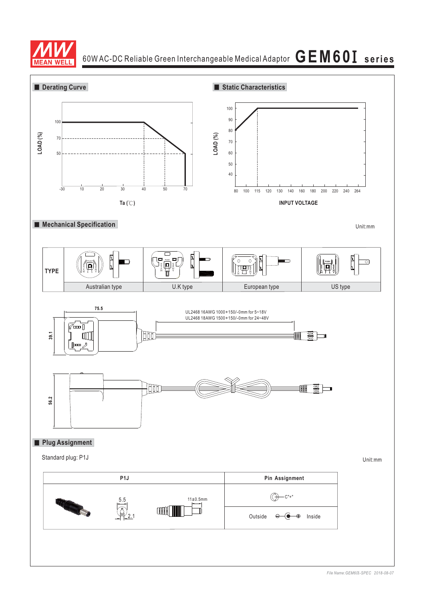

60W AC-DC Reliable Green Interchangeable Medical Adaptor  $\,\mathbf{G}\,\mathbf{E}\,\mathbf{M}\,\mathbf{6}\,\mathbf{0}\,\mathbf{I}\,$  series

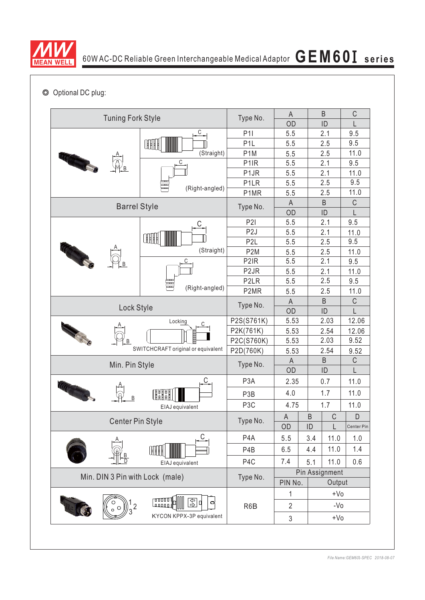

◎ Optional DC plug:

| <b>Tuning Fork Style</b>           | Type No.                  | $\mathsf A$       |                           | B       | $\mathsf C$ |             |
|------------------------------------|---------------------------|-------------------|---------------------------|---------|-------------|-------------|
|                                    |                           | OD                | ID                        |         | L           |             |
|                                    | $\frac{C}{2}$             | <b>P1I</b>        | 5.5                       |         | 2.1         | 9.5         |
|                                    | CFF :                     | P <sub>1</sub> L  | 5.5                       |         | 2.5         | 9.5         |
|                                    | (Straight)                | P <sub>1</sub> M  | 5.5                       |         | 2.5         | 11.0        |
|                                    | C                         | P <sub>1</sub> R  | 5.5                       |         | 2.1         | 9.5         |
|                                    |                           | P <sub>1</sub> JR | 5.5                       |         | 2.1         | 11.0        |
|                                    | (Right-angled)            | P <sub>1</sub> LR | 5.5                       |         | 2.5         | 9.5         |
|                                    | P1MR                      | 5.5               |                           | 2.5     | 11.0        |             |
| <b>Barrel Style</b>                |                           | Type No.          | $\mathsf A$               |         | $\sf B$     | $\mathsf C$ |
|                                    |                           |                   | OD                        |         | ID          | L           |
|                                    |                           | P2I               | 5.5                       |         | 2.1         | 9.5         |
|                                    | ŒH                        | P <sub>2</sub> J  | 5.5                       |         | 2.1         | 11.0        |
|                                    |                           | P <sub>2</sub> L  | 5.5                       |         | 2.5         | 9.5         |
| <b>CONSTANTINO</b>                 | (Straight)                | P <sub>2</sub> M  | 5.5                       |         | 2.5         | 11.0        |
|                                    | С                         | P <sub>2</sub> IR | 5.5                       |         | 2.1         | 9.5         |
|                                    |                           | P <sub>2</sub> JR | 5.5                       |         | 2.1         | 11.0        |
|                                    | ÷<br>(Right-angled)       | P <sub>2</sub> LR | 5.5                       |         | 2.5         | 9.5         |
|                                    | P <sub>2</sub> MR         | 5.5               |                           | 2.5     | 11.0        |             |
|                                    | Type No.                  | $\mathsf{A}$      |                           | $\sf B$ | $\mathsf C$ |             |
| Lock Style                         |                           | OD                | ID                        |         | L           |             |
|                                    | Locking<br>C              | P2S(S761K)        | 5.53                      | 2.03    |             | 12.06       |
|                                    |                           | P2K(761K)         | 5.53                      | 2.54    |             | 12.06       |
|                                    |                           | P2C(S760K)        | 5.53                      | 2.03    |             | 9.52        |
| SWITCHCRAFT original or equivalent | P2D(760K)                 | 5.53              | 2.54                      |         | 9.52        |             |
| Min. Pin Style                     |                           | Type No.          | A                         |         | B           | C           |
|                                    |                           |                   | OD                        |         | ID          | L           |
|                                    | <u>C.</u>                 | P <sub>3</sub> A  | 2.35                      |         | 0.7         | 11.0        |
| <b>ITT ANNIS</b>                   | T<br>H                    | P3B               | 4.0                       | 1.7     |             | 11.0        |
|                                    | EIAJ equivalent           | P <sub>3</sub> C  | 4.75                      | 1.7     |             | 11.0        |
|                                    |                           |                   | A                         | B       | $\mathsf C$ | D           |
| <b>Center Pin Style</b>            | Type No.                  | OD                | ID                        | L       | Center Pin  |             |
|                                    |                           | P <sub>4</sub> A  | 5.5                       | 3.4     | 11.0        | 1.0         |
|                                    | ŒH                        | P <sub>4</sub> B  | 6.5                       | 4.4     | 11.0        | 1.4         |
|                                    | EIAJ equivalent           | P <sub>4</sub> C  | 7.4                       | 5.1     | 11.0        | 0.6         |
| Min. DIN 3 Pin with Lock (male)    | Type No.                  | Pin Assignment    |                           |         |             |             |
|                                    |                           | PIN No.           |                           | Output  |             |             |
|                                    | annon<br>Conno<br>9쇼<br>ď |                   | 1                         | $+V0$   |             |             |
|                                    |                           | R6B               | $\overline{2}$            |         | $-VO$       |             |
|                                    | KYCON KPPX-3P equivalent  |                   | $\ensuremath{\mathsf{3}}$ | $+V0$   |             |             |